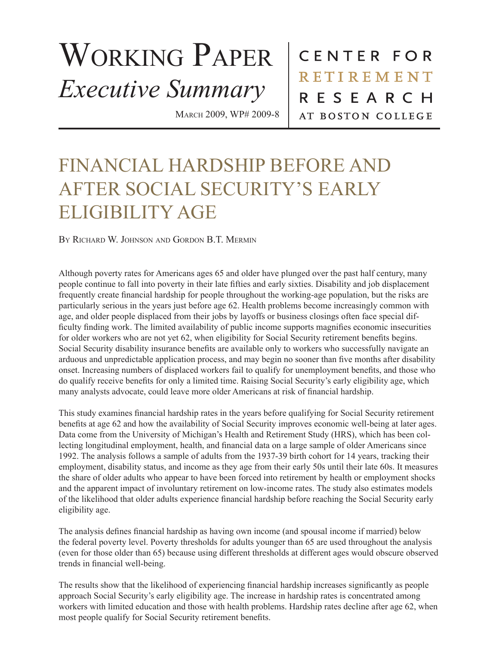## WORKING PAPER *Executive Summary*

March 2009, WP# 2009-8

CENTER FOR **RETIREMENT** RESEARCH AT BOSTON COLLEGE

## FINANCIAL HARDSHIP BEFORE AND AFTER SOCIAL SECURITY'S EARLY ELIGIBILITY AGE

BY RICHARD W. JOHNSON AND GORDON B.T. MERMIN

Although poverty rates for Americans ages 65 and older have plunged over the past half century, many people continue to fall into poverty in their late fifties and early sixties. Disability and job displacement frequently create financial hardship for people throughout the working-age population, but the risks are particularly serious in the years just before age 62. Health problems become increasingly common with age, and older people displaced from their jobs by layoffs or business closings often face special difficulty finding work. The limited availability of public income supports magnifies economic insecurities for older workers who are not yet 62, when eligibility for Social Security retirement benefits begins. Social Security disability insurance benefits are available only to workers who successfully navigate an arduous and unpredictable application process, and may begin no sooner than five months after disability onset. Increasing numbers of displaced workers fail to qualify for unemployment benefits, and those who do qualify receive benefits for only a limited time. Raising Social Security's early eligibility age, which many analysts advocate, could leave more older Americans at risk of financial hardship.

This study examines financial hardship rates in the years before qualifying for Social Security retirement benefits at age 62 and how the availability of Social Security improves economic well-being at later ages. Data come from the University of Michigan's Health and Retirement Study (HRS), which has been collecting longitudinal employment, health, and financial data on a large sample of older Americans since 1992. The analysis follows a sample of adults from the 1937-39 birth cohort for 14 years, tracking their employment, disability status, and income as they age from their early 50s until their late 60s. It measures the share of older adults who appear to have been forced into retirement by health or employment shocks and the apparent impact of involuntary retirement on low-income rates. The study also estimates models of the likelihood that older adults experience financial hardship before reaching the Social Security early eligibility age.

The analysis defines financial hardship as having own income (and spousal income if married) below the federal poverty level. Poverty thresholds for adults younger than 65 are used throughout the analysis (even for those older than 65) because using different thresholds at different ages would obscure observed trends in financial well-being.

The results show that the likelihood of experiencing financial hardship increases significantly as people approach Social Security's early eligibility age. The increase in hardship rates is concentrated among workers with limited education and those with health problems. Hardship rates decline after age 62, when most people qualify for Social Security retirement benefits.